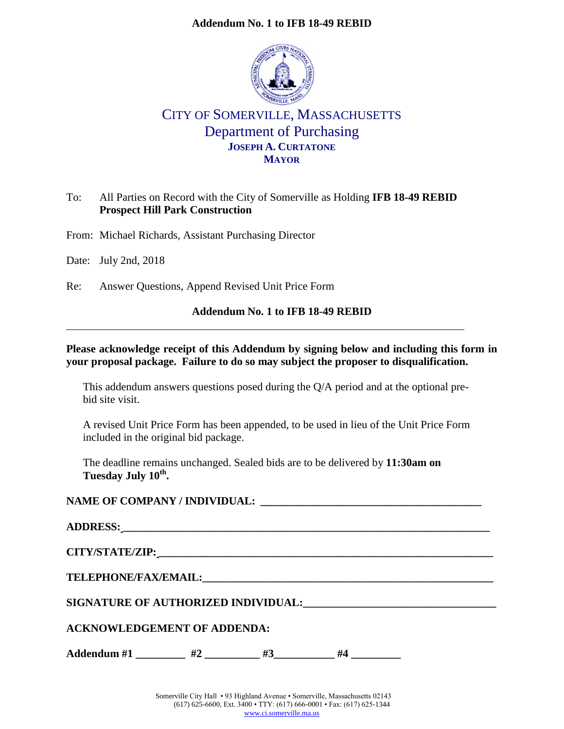## **Addendum No. 1 to IFB 18-49 REBID**



# CITY OF SOMERVILLE, MASSACHUSETTS Department of Purchasing **JOSEPH A. CURTATONE MAYOR**

## To: All Parties on Record with the City of Somerville as Holding **IFB 18-49 REBID Prospect Hill Park Construction**

From: Michael Richards, Assistant Purchasing Director

Date: July 2nd, 2018

Re: Answer Questions, Append Revised Unit Price Form

## **Addendum No. 1 to IFB 18-49 REBID**

### **Please acknowledge receipt of this Addendum by signing below and including this form in your proposal package. Failure to do so may subject the proposer to disqualification.**

This addendum answers questions posed during the Q/A period and at the optional prebid site visit.

A revised Unit Price Form has been appended, to be used in lieu of the Unit Price Form included in the original bid package.

The deadline remains unchanged. Sealed bids are to be delivered by **11:30am on Tuesday July 10th .**

## **NAME OF COMPANY / INDIVIDUAL: \_\_\_\_\_\_\_\_\_\_\_\_\_\_\_\_\_\_\_\_\_\_\_\_\_\_\_\_\_\_\_\_\_\_\_\_\_\_\_\_\_**

| CITY/STATE/ZIP: New York of the CITY/STATE/ZIP:                                                                                                                                                                                     |    |    |    |  |  |  |
|-------------------------------------------------------------------------------------------------------------------------------------------------------------------------------------------------------------------------------------|----|----|----|--|--|--|
| <b>TELEPHONE/FAX/EMAIL:</b> THE TERM ON THE TERM OF THE TERM OF THE TERM OF THE TERM OF THE TERM OF THE TERM OF THE TERM OF THE TERM OF THE TERM OF THE TERM OF THE TERM OF THE TERM OF THE TERM OF THE TERM OF THE TERM OF THE TER |    |    |    |  |  |  |
| SIGNATURE OF AUTHORIZED INDIVIDUAL:                                                                                                                                                                                                 |    |    |    |  |  |  |
| <b>ACKNOWLEDGEMENT OF ADDENDA:</b>                                                                                                                                                                                                  |    |    |    |  |  |  |
| Addendum #1                                                                                                                                                                                                                         | #2 | #3 | #4 |  |  |  |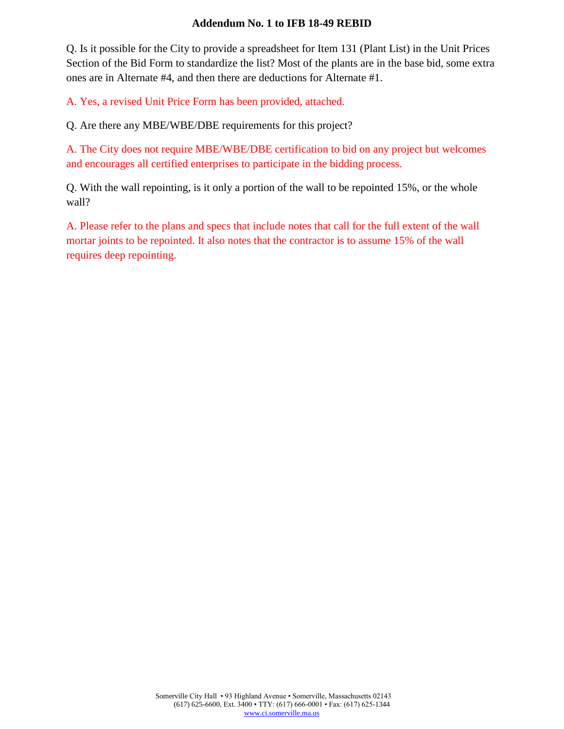### **Addendum No. 1 to IFB 18-49 REBID**

Q. Is it possible for the City to provide a spreadsheet for Item 131 (Plant List) in the Unit Prices Section of the Bid Form to standardize the list? Most of the plants are in the base bid, some extra ones are in Alternate #4, and then there are deductions for Alternate #1.

A. Yes, a revised Unit Price Form has been provided, attached.

Q. Are there any MBE/WBE/DBE requirements for this project?

A. The City does not require MBE/WBE/DBE certification to bid on any project but welcomes and encourages all certified enterprises to participate in the bidding process.

Q. With the wall repointing, is it only a portion of the wall to be repointed 15%, or the whole wall?

A. Please refer to the plans and specs that include notes that call for the full extent of the wall mortar joints to be repointed. It also notes that the contractor is to assume 15% of the wall requires deep repointing.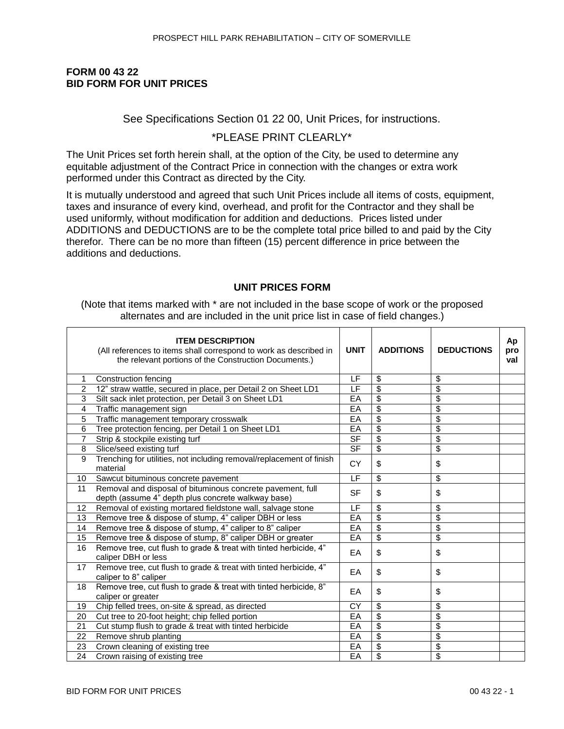### **FORM 00 43 22 BID FORM FOR UNIT PRICES**

### See Specifications Section 01 22 00, Unit Prices, for instructions.

## \*PLEASE PRINT CLEARLY\*

The Unit Prices set forth herein shall, at the option of the City, be used to determine any equitable adjustment of the Contract Price in connection with the changes or extra work performed under this Contract as directed by the City.

It is mutually understood and agreed that such Unit Prices include all items of costs, equipment, taxes and insurance of every kind, overhead, and profit for the Contractor and they shall be used uniformly, without modification for addition and deductions. Prices listed under ADDITIONS and DEDUCTIONS are to be the complete total price billed to and paid by the City therefor. There can be no more than fifteen (15) percent difference in price between the additions and deductions.

### **UNIT PRICES FORM**

(Note that items marked with \* are not included in the base scope of work or the proposed alternates and are included in the unit price list in case of field changes.)

|                 | <b>ITEM DESCRIPTION</b><br>(All references to items shall correspond to work as described in<br>the relevant portions of the Construction Documents.) | <b>UNIT</b>              | <b>ADDITIONS</b> | <b>DEDUCTIONS</b>        | Ap<br>pro<br>val |
|-----------------|-------------------------------------------------------------------------------------------------------------------------------------------------------|--------------------------|------------------|--------------------------|------------------|
|                 | Construction fencing                                                                                                                                  | LF                       | \$               | \$                       |                  |
| $\overline{2}$  | 12" straw wattle, secured in place, per Detail 2 on Sheet LD1                                                                                         | LF                       | $\overline{\$}$  | \$                       |                  |
| 3               | Silt sack inlet protection, per Detail 3 on Sheet LD1                                                                                                 | EA                       | \$               | \$                       |                  |
| 4               | Traffic management sign                                                                                                                               | EA                       | $\overline{\$}$  | \$                       |                  |
| 5               | Traffic management temporary crosswalk                                                                                                                | EA                       | \$               | \$                       |                  |
| 6               | Tree protection fencing, per Detail 1 on Sheet LD1                                                                                                    | EA                       | \$               | $\overline{\mathbf{3}}$  |                  |
| 7               | Strip & stockpile existing turf                                                                                                                       | $\overline{\mathsf{SF}}$ | \$               | $\overline{\mathcal{S}}$ |                  |
| 8               | Slice/seed existing turf                                                                                                                              | <b>SF</b>                | $\overline{\$}$  | $\overline{\mathbf{3}}$  |                  |
| 9               | Trenching for utilities, not including removal/replacement of finish<br>material                                                                      | <b>CY</b>                | \$               | \$                       |                  |
| 10 <sup>1</sup> | Sawcut bituminous concrete pavement                                                                                                                   | LF                       | \$               | \$                       |                  |
| 11              | Removal and disposal of bituminous concrete pavement, full<br>depth (assume 4" depth plus concrete walkway base)                                      | <b>SF</b>                | \$               | \$                       |                  |
| 12              | Removal of existing mortared fieldstone wall, salvage stone                                                                                           | LF                       | \$               | \$                       |                  |
| 13              | Remove tree & dispose of stump, 4" caliper DBH or less                                                                                                | EA                       | $\overline{\$}$  | $\overline{\mathbf{3}}$  |                  |
| 14              | Remove tree & dispose of stump, 4" caliper to 8" caliper                                                                                              | EA                       | \$               | $\overline{\mathcal{S}}$ |                  |
| 15              | Remove tree & dispose of stump, 8" caliper DBH or greater                                                                                             | EA                       | $\overline{\$}$  | \$                       |                  |
| 16              | Remove tree, cut flush to grade & treat with tinted herbicide, 4"<br>caliper DBH or less                                                              | EA                       | \$               | \$                       |                  |
| 17              | Remove tree, cut flush to grade & treat with tinted herbicide, 4"<br>caliper to 8" caliper                                                            | EA                       | \$               | \$                       |                  |
| 18              | Remove tree, cut flush to grade & treat with tinted herbicide, 8"<br>caliper or greater                                                               | EA                       | \$               | \$                       |                  |
| 19              | Chip felled trees, on-site & spread, as directed                                                                                                      | CY                       | \$               | \$                       |                  |
| 20              | Cut tree to 20-foot height; chip felled portion                                                                                                       | EA                       | $\overline{\$}$  | \$                       |                  |
| 21              | Cut stump flush to grade & treat with tinted herbicide                                                                                                | EA                       | \$               | $\overline{\mathcal{S}}$ |                  |
| 22              | Remove shrub planting                                                                                                                                 | EA                       | $\overline{\$}$  | \$                       |                  |
| 23              | Crown cleaning of existing tree                                                                                                                       | EA                       | \$               | \$                       |                  |
| 24              | Crown raising of existing tree                                                                                                                        | EA                       | $\overline{\$}$  | $\overline{\mathbf{3}}$  |                  |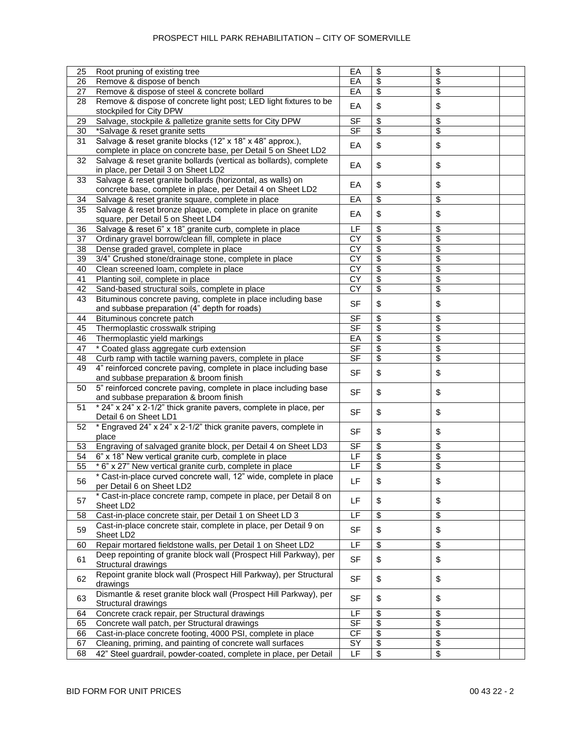| 25 | Root pruning of existing tree                                      | EA                       | \$              | \$ |
|----|--------------------------------------------------------------------|--------------------------|-----------------|----|
| 26 | Remove & dispose of bench                                          | EA                       | \$              | \$ |
| 27 | Remove & dispose of steel & concrete bollard                       | $E$ A                    | \$              | \$ |
| 28 | Remove & dispose of concrete light post; LED light fixtures to be  |                          |                 |    |
|    | stockpiled for City DPW                                            | EA                       | \$              | \$ |
|    |                                                                    |                          |                 |    |
| 29 | Salvage, stockpile & palletize granite setts for City DPW          | <b>SF</b>                | \$              | \$ |
| 30 | *Salvage & reset granite setts                                     | $\overline{\mathsf{SF}}$ | \$              | \$ |
| 31 | Salvage & reset granite blocks (12" x 18" x 48" approx.),          | EA                       | \$              | \$ |
|    | complete in place on concrete base, per Detail 5 on Sheet LD2      |                          |                 |    |
| 32 | Salvage & reset granite bollards (vertical as bollards), complete  | EA                       | \$              | \$ |
|    | in place, per Detail 3 on Sheet LD2                                |                          |                 |    |
| 33 | Salvage & reset granite bollards (horizontal, as walls) on         |                          |                 |    |
|    | concrete base, complete in place, per Detail 4 on Sheet LD2        | EA                       | \$              | \$ |
| 34 | Salvage & reset granite square, complete in place                  | EA                       | \$              | \$ |
| 35 | Salvage & reset bronze plaque, complete in place on granite        |                          |                 |    |
|    | square, per Detail 5 on Sheet LD4                                  | EA                       | \$              | \$ |
| 36 | Salvage & reset 6" x 18" granite curb, complete in place           | LF                       | \$              | \$ |
|    |                                                                    | CY                       | \$              |    |
| 37 | Ordinary gravel borrow/clean fill, complete in place               |                          |                 | \$ |
| 38 | Dense graded gravel, complete in place                             | CY                       | \$              | \$ |
| 39 | 3/4" Crushed stone/drainage stone, complete in place               | $\overline{CY}$          | \$              | \$ |
| 40 | Clean screened loam, complete in place                             | $\overline{CY}$          | $\overline{\$}$ | \$ |
| 41 | Planting soil, complete in place                                   | $\overline{CY}$          | \$              | \$ |
| 42 | Sand-based structural soils, complete in place                     | $\overline{CY}$          | \$              | \$ |
| 43 | Bituminous concrete paving, complete in place including base       |                          |                 |    |
|    | and subbase preparation (4" depth for roads)                       | <b>SF</b>                | \$              | \$ |
| 44 | Bituminous concrete patch                                          | <b>SF</b>                | \$              | \$ |
| 45 | Thermoplastic crosswalk striping                                   | <b>SF</b>                | \$              | \$ |
| 46 | Thermoplastic yield markings                                       | EA                       | \$              | \$ |
|    |                                                                    |                          |                 |    |
| 47 | * Coated glass aggregate curb extension                            | <b>SF</b>                | \$              | \$ |
| 48 | Curb ramp with tactile warning pavers, complete in place           | S <sub>F</sub>           | \$              | \$ |
| 49 | 4" reinforced concrete paving, complete in place including base    | <b>SF</b>                | \$              | \$ |
|    | and subbase preparation & broom finish                             |                          |                 |    |
| 50 | 5" reinforced concrete paving, complete in place including base    | <b>SF</b>                | \$              | \$ |
|    | and subbase preparation & broom finish                             |                          |                 |    |
| 51 | * 24" x 24" x 2-1/2" thick granite pavers, complete in place, per  |                          |                 |    |
|    | Detail 6 on Sheet LD1                                              | SF                       | \$              | \$ |
| 52 | * Engraved 24" x 24" x 2-1/2" thick granite pavers, complete in    |                          |                 |    |
|    | place                                                              | SF                       | \$              | \$ |
| 53 | Engraving of salvaged granite block, per Detail 4 on Sheet LD3     | <b>SF</b>                | \$              | \$ |
| 54 | 6" x 18" New vertical granite curb, complete in place              | E                        | \$              | \$ |
|    |                                                                    | E                        |                 |    |
| 55 | * 6" x 27" New vertical granite curb, complete in place            |                          | \$              | \$ |
| 56 | * Cast-in-place curved concrete wall, 12" wide, complete in place  | LF                       | \$              | \$ |
|    | per Detail 6 on Sheet LD2                                          |                          |                 |    |
| 57 | * Cast-in-place concrete ramp, compete in place, per Detail 8 on   | LF.                      | \$              | \$ |
|    | Sheet LD2                                                          |                          |                 |    |
| 58 | Cast-in-place concrete stair, per Detail 1 on Sheet LD 3           | LF                       | \$              | \$ |
|    | Cast-in-place concrete stair, complete in place, per Detail 9 on   |                          |                 |    |
| 59 | Sheet LD2                                                          | <b>SF</b>                | \$              | \$ |
| 60 | Repair mortared fieldstone walls, per Detail 1 on Sheet LD2        | E                        | \$              | \$ |
|    | Deep repointing of granite block wall (Prospect Hill Parkway), per |                          |                 |    |
| 61 | Structural drawings                                                | <b>SF</b>                | \$              | \$ |
|    | Repoint granite block wall (Prospect Hill Parkway), per Structural |                          |                 |    |
| 62 | drawings                                                           | <b>SF</b>                | \$              | \$ |
|    |                                                                    |                          |                 |    |
| 63 | Dismantle & reset granite block wall (Prospect Hill Parkway), per  | <b>SF</b>                | \$              | \$ |
|    | Structural drawings                                                |                          |                 |    |
| 64 | Concrete crack repair, per Structural drawings                     | LF                       | \$              | \$ |
| 65 | Concrete wall patch, per Structural drawings                       | S <sub>F</sub>           | \$              | \$ |
| 66 | Cast-in-place concrete footing, 4000 PSI, complete in place        | CF                       | \$              | \$ |
| 67 | Cleaning, priming, and painting of concrete wall surfaces          | SY                       | \$              | \$ |
| 68 | 42" Steel guardrail, powder-coated, complete in place, per Detail  | LF                       | \$              | \$ |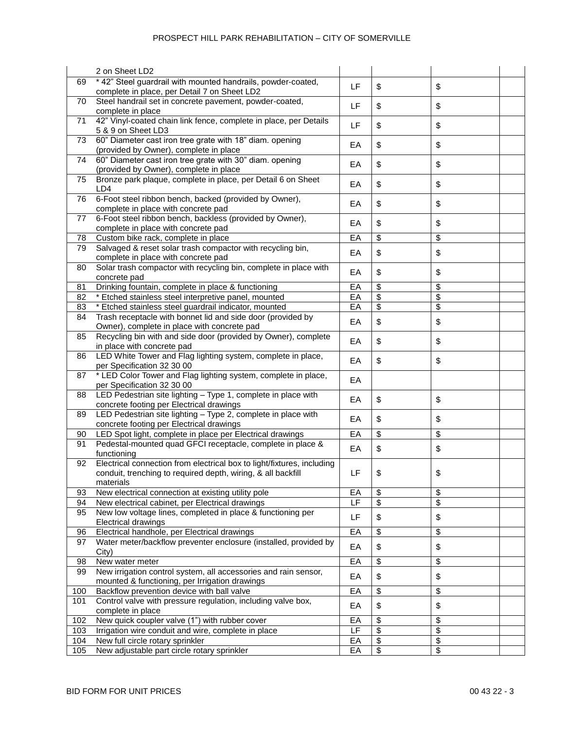|     | 2 on Sheet LD2                                                                                                                                      |       |                          |                                  |  |
|-----|-----------------------------------------------------------------------------------------------------------------------------------------------------|-------|--------------------------|----------------------------------|--|
| 69  | * 42" Steel guardrail with mounted handrails, powder-coated,<br>complete in place, per Detail 7 on Sheet LD2                                        | LF    | \$                       | \$                               |  |
| 70  | Steel handrail set in concrete pavement, powder-coated,<br>complete in place                                                                        | LF.   | \$                       | \$                               |  |
| 71  | 42" Vinyl-coated chain link fence, complete in place, per Details<br>5 & 9 on Sheet LD3                                                             | LF    | \$                       | \$                               |  |
| 73  | 60" Diameter cast iron tree grate with 18" diam. opening<br>(provided by Owner), complete in place                                                  | EA    | \$                       | \$                               |  |
| 74  | 60" Diameter cast iron tree grate with 30" diam. opening<br>(provided by Owner), complete in place                                                  | EA    | \$                       | \$                               |  |
| 75  | Bronze park plaque, complete in place, per Detail 6 on Sheet<br>LD4                                                                                 | EA    | \$                       | \$                               |  |
| 76  | 6-Foot steel ribbon bench, backed (provided by Owner),<br>complete in place with concrete pad                                                       | EA    | \$                       | \$                               |  |
| 77  | 6-Foot steel ribbon bench, backless (provided by Owner),<br>complete in place with concrete pad                                                     | EA    | \$                       | \$                               |  |
| 78  | Custom bike rack, complete in place                                                                                                                 | $E$ A | \$                       | \$                               |  |
| 79  | Salvaged & reset solar trash compactor with recycling bin,<br>complete in place with concrete pad                                                   | EA    | \$                       | \$                               |  |
| 80  | Solar trash compactor with recycling bin, complete in place with<br>concrete pad                                                                    | EA    | \$                       | \$                               |  |
| 81  | Drinking fountain, complete in place & functioning                                                                                                  | EA    | \$                       | \$                               |  |
| 82  | * Etched stainless steel interpretive panel, mounted                                                                                                | EA    | \$                       | \$                               |  |
| 83  | * Etched stainless steel guardrail indicator, mounted                                                                                               | EA    | \$                       | $\overline{\boldsymbol{\theta}}$ |  |
| 84  | Trash receptacle with bonnet lid and side door (provided by<br>Owner), complete in place with concrete pad                                          | EA    | \$                       | \$                               |  |
| 85  | Recycling bin with and side door (provided by Owner), complete<br>in place with concrete pad                                                        | EA    | \$                       | \$                               |  |
| 86  | LED White Tower and Flag lighting system, complete in place,<br>per Specification 32 30 00                                                          | EA    | \$                       | \$                               |  |
| 87  | * LED Color Tower and Flag lighting system, complete in place,<br>per Specification 32 30 00                                                        | EA    |                          |                                  |  |
| 88  | LED Pedestrian site lighting - Type 1, complete in place with<br>concrete footing per Electrical drawings                                           | EA    | \$                       | \$                               |  |
| 89  | LED Pedestrian site lighting - Type 2, complete in place with<br>concrete footing per Electrical drawings                                           | EA    | \$                       | \$                               |  |
| 90  | LED Spot light, complete in place per Electrical drawings                                                                                           | EA    | \$                       | \$                               |  |
| 91  | Pedestal-mounted quad GFCI receptacle, complete in place &<br>functioning                                                                           | EA    | \$                       | \$                               |  |
| 92  | Electrical connection from electrical box to light/fixtures, including<br>conduit, trenching to required depth, wiring, & all backfill<br>materials | LF    | \$                       | \$                               |  |
| 93  | New electrical connection at existing utility pole                                                                                                  | EA    | \$                       | \$                               |  |
| 94  | New electrical cabinet, per Electrical drawings                                                                                                     | LF.   | \$                       | \$                               |  |
| 95  | New low voltage lines, completed in place & functioning per<br><b>Electrical drawings</b>                                                           | LF    | \$                       | \$                               |  |
| 96  | Electrical handhole, per Electrical drawings                                                                                                        | EA    | \$                       | \$                               |  |
| 97  | Water meter/backflow preventer enclosure (installed, provided by<br>City)                                                                           | EA    | \$                       | \$                               |  |
| 98  | New water meter                                                                                                                                     | EA    | \$                       | \$                               |  |
| 99  | New irrigation control system, all accessories and rain sensor,<br>mounted & functioning, per Irrigation drawings                                   | EA    | \$                       | \$                               |  |
| 100 | Backflow prevention device with ball valve                                                                                                          | EA    | \$                       | \$                               |  |
| 101 | Control valve with pressure regulation, including valve box,<br>complete in place                                                                   | EA    | \$                       | \$                               |  |
| 102 | New quick coupler valve (1") with rubber cover                                                                                                      | EA    | \$                       | \$                               |  |
| 103 | Irrigation wire conduit and wire, complete in place                                                                                                 | LF    | \$                       | \$                               |  |
| 104 | New full circle rotary sprinkler                                                                                                                    | EA    | $\overline{\mathbf{e}}$  | \$                               |  |
| 105 | New adjustable part circle rotary sprinkler                                                                                                         | EA    | $\overline{\mathcal{S}}$ | $\overline{\boldsymbol{\theta}}$ |  |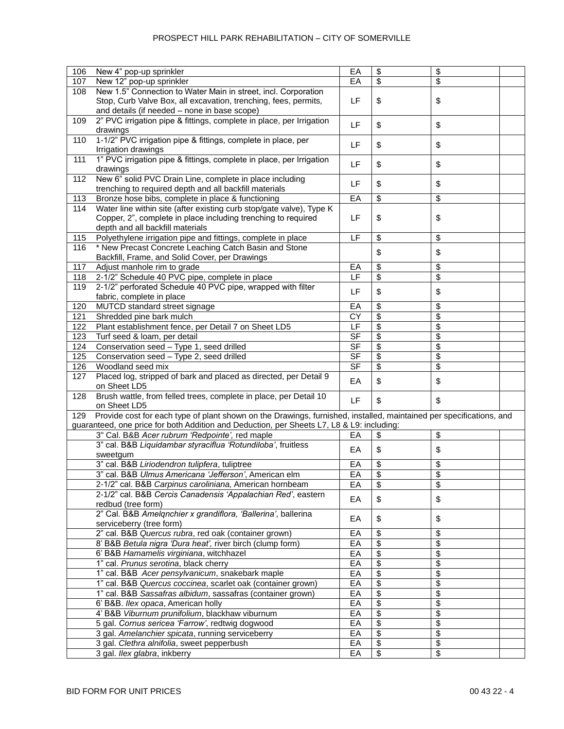| 106 | New 4" pop-up sprinkler                                                                                             | EA                       | \$<br>\$ |  |
|-----|---------------------------------------------------------------------------------------------------------------------|--------------------------|----------|--|
|     |                                                                                                                     |                          |          |  |
| 107 | New 12" pop-up sprinkler                                                                                            | EA                       | \$<br>\$ |  |
| 108 | New 1.5" Connection to Water Main in street, incl. Corporation                                                      |                          |          |  |
|     | Stop, Curb Valve Box, all excavation, trenching, fees, permits,                                                     | LF                       | \$<br>\$ |  |
|     | and details (if needed - none in base scope)                                                                        |                          |          |  |
| 109 | 2" PVC irrigation pipe & fittings, complete in place, per Irrigation                                                |                          |          |  |
|     | drawings                                                                                                            | LF                       | \$<br>\$ |  |
| 110 | 1-1/2" PVC irrigation pipe & fittings, complete in place, per                                                       |                          |          |  |
|     | Irrigation drawings                                                                                                 | LF                       | \$<br>\$ |  |
|     | 1" PVC irrigation pipe & fittings, complete in place, per Irrigation                                                |                          |          |  |
| 111 |                                                                                                                     | LF.                      | \$<br>\$ |  |
|     | drawings                                                                                                            |                          |          |  |
| 112 | New 6" solid PVC Drain Line, complete in place including                                                            | LF                       | \$<br>\$ |  |
|     | trenching to required depth and all backfill materials                                                              |                          |          |  |
| 113 | Bronze hose bibs, complete in place & functioning                                                                   | EA                       | \$<br>\$ |  |
| 114 | Water line within site (after existing curb stop/gate valve), Type K                                                |                          |          |  |
|     | Copper, 2", complete in place including trenching to required                                                       | LF                       | \$<br>\$ |  |
|     | depth and all backfill materials                                                                                    |                          |          |  |
| 115 | Polyethylene irrigation pipe and fittings, complete in place                                                        | LF                       | \$<br>\$ |  |
|     | * New Precast Concrete Leaching Catch Basin and Stone                                                               |                          |          |  |
| 116 |                                                                                                                     |                          | \$<br>\$ |  |
|     | Backfill, Frame, and Solid Cover, per Drawings                                                                      |                          |          |  |
| 117 | Adjust manhole rim to grade                                                                                         | EA                       | \$<br>\$ |  |
| 118 | 2-1/2" Schedule 40 PVC pipe, complete in place                                                                      | LF                       | \$<br>\$ |  |
| 119 | 2-1/2" perforated Schedule 40 PVC pipe, wrapped with filter                                                         | LF                       |          |  |
|     | fabric, complete in place                                                                                           |                          | \$<br>\$ |  |
| 120 | MUTCD standard street signage                                                                                       | EA                       | \$<br>\$ |  |
| 121 | Shredded pine bark mulch                                                                                            | <b>CY</b>                | \$<br>\$ |  |
| 122 | Plant establishment fence, per Detail 7 on Sheet LD5                                                                | LF                       | \$<br>\$ |  |
|     |                                                                                                                     |                          |          |  |
| 123 | Turf seed & loam, per detail                                                                                        | <b>SF</b>                | \$<br>\$ |  |
| 124 | Conservation seed - Type 1, seed drilled                                                                            | $\overline{\mathsf{SF}}$ | \$<br>\$ |  |
| 125 | Conservation seed - Type 2, seed drilled                                                                            | $\overline{\mathsf{SF}}$ | \$<br>\$ |  |
| 126 | Woodland seed mix                                                                                                   | $\overline{\mathsf{SF}}$ | \$<br>\$ |  |
| 127 | Placed log, stripped of bark and placed as directed, per Detail 9                                                   |                          |          |  |
|     | on Sheet LD5                                                                                                        | EA                       | \$<br>\$ |  |
| 128 | Brush wattle, from felled trees, complete in place, per Detail 10                                                   |                          |          |  |
|     | on Sheet LD5                                                                                                        | LF                       | \$<br>\$ |  |
| 129 | Provide cost for each type of plant shown on the Drawings, furnished, installed, maintained per specifications, and |                          |          |  |
|     |                                                                                                                     |                          |          |  |
|     | guaranteed, one price for both Addition and Deduction, per Sheets L7, L8 & L9: including:                           |                          |          |  |
|     | 3" Cal. B&B Acer rubrum 'Redpointe', red maple                                                                      | EA                       | \$<br>\$ |  |
|     | 3" cal. B&B Liquidambar styraciflua 'Rotundiloba', fruitless                                                        | EA                       | \$<br>\$ |  |
|     | sweetgum                                                                                                            |                          |          |  |
|     | 3" cal. B&B Liriodendron tulipfera, tuliptree                                                                       | EA                       | \$<br>\$ |  |
|     | 3" cal. B&B Ulmus Americana 'Jefferson', American elm                                                               | EA                       | \$<br>\$ |  |
|     | 2-1/2" cal. B&B Carpinus caroliniana, American hornbeam                                                             | EA                       | \$<br>\$ |  |
|     | 2-1/2" cal. B&B Cercis Canadensis 'Appalachian Red', eastern                                                        |                          |          |  |
|     | redbud (tree form)                                                                                                  | EA                       | \$<br>\$ |  |
|     | 2" Cal. B&B Amelgnchier x grandiflora, 'Ballerina', ballerina                                                       |                          |          |  |
|     |                                                                                                                     | EA                       | \$<br>\$ |  |
|     | serviceberry (tree form)                                                                                            |                          |          |  |
|     | 2" cal. B&B Quercus rubra, red oak (container grown)                                                                | EA                       | \$<br>\$ |  |
|     | 8' B&B Betula nigra 'Dura heat', river birch (clump form)                                                           | EA                       | \$<br>\$ |  |
|     | 6' B&B Hamamelis virginiana, witchhazel                                                                             | EA                       | \$<br>\$ |  |
|     | 1" cal. Prunus serotina, black cherry                                                                               | EA                       | \$<br>\$ |  |
|     | 1" cal. B&B Acer pensylvanicum, snakebark maple                                                                     | EA                       | \$<br>\$ |  |
|     | 1" cal. B&B Quercus coccinea, scarlet oak (container grown)                                                         | EA                       | \$<br>\$ |  |
|     | 1" cal. B&B Sassafras albidum, sassafras (container grown)                                                          | EA                       | \$<br>\$ |  |
|     |                                                                                                                     |                          | \$       |  |
|     | 6' B&B. Ilex opaca, American holly                                                                                  | EA                       | \$       |  |
|     | 4' B&B Viburnum prunifolium, blackhaw viburnum                                                                      | EA                       | \$<br>\$ |  |
|     | 5 gal. Cornus sericea 'Farrow', redtwig dogwood                                                                     | EA                       | \$<br>\$ |  |
|     | 3 gal. Amelanchier spicata, running serviceberry                                                                    | EA                       | \$<br>\$ |  |
|     | 3 gal. Clethra alnifolia, sweet pepperbush                                                                          | EA                       | \$<br>\$ |  |
|     | 3 gal. Ilex glabra, inkberry                                                                                        | EA                       | \$<br>\$ |  |
|     |                                                                                                                     |                          |          |  |